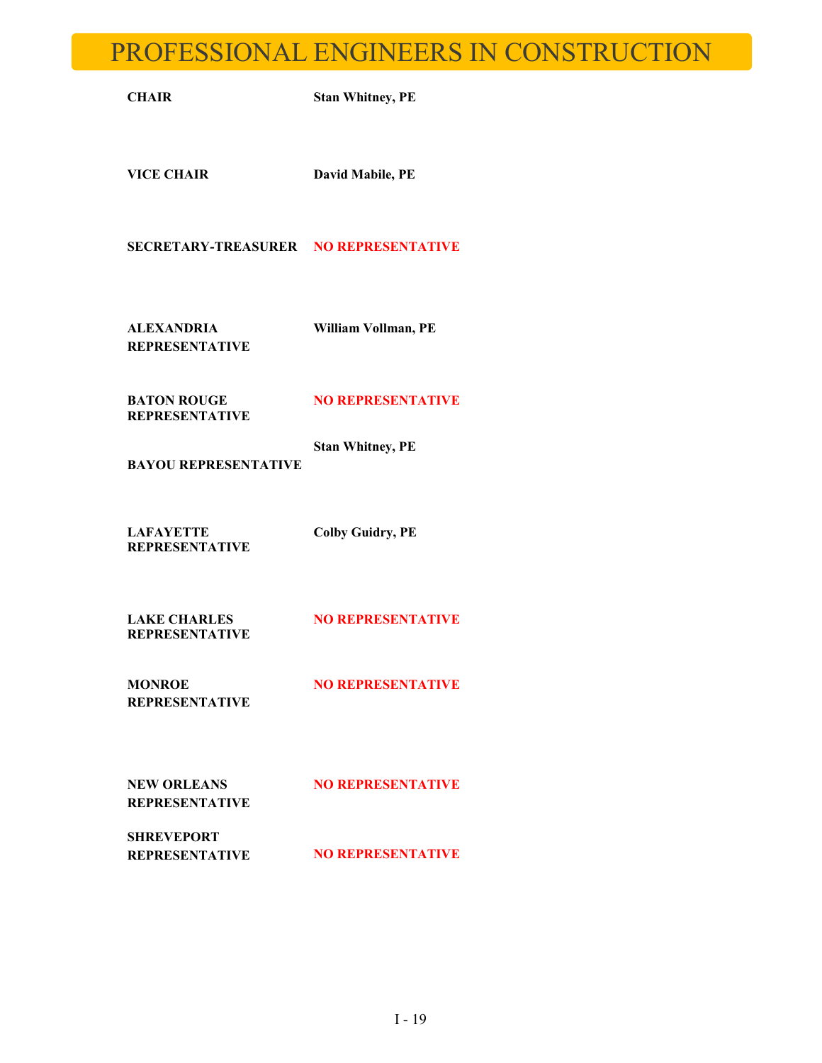## PROFESSIONAL ENGINEERS IN CONSTRUCTION

**CHAIR Stan Whitney, PE**

**VICE CHAIR David Mabile, PE**

**SECRETARY-TREASURER NO REPRESENTATIVE**

**ALEXANDRIA REPRESENTATIVE** **William Vollman, PE**

**BATON ROUGE REPRESENTATIVE** **NO REPRESENTATIVE**

**BAYOU REPRESENTATIVE Stan Whitney, PE**

**LAFAYETTE Colby Guidry, PE**

**REPRESENTATIVE**

**LAKE CHARLES REPRESENTATIVE NO REPRESENTATIVE** 

**MONROE REPRESENTATIVE NO REPRESENTATIVE** 

**NEW ORLEANS REPRESENTATIVE** **NO REPRESENTATIVE**

**SHREVEPORT** 

**REPRESENTATIVE NO REPRESENTATIVE**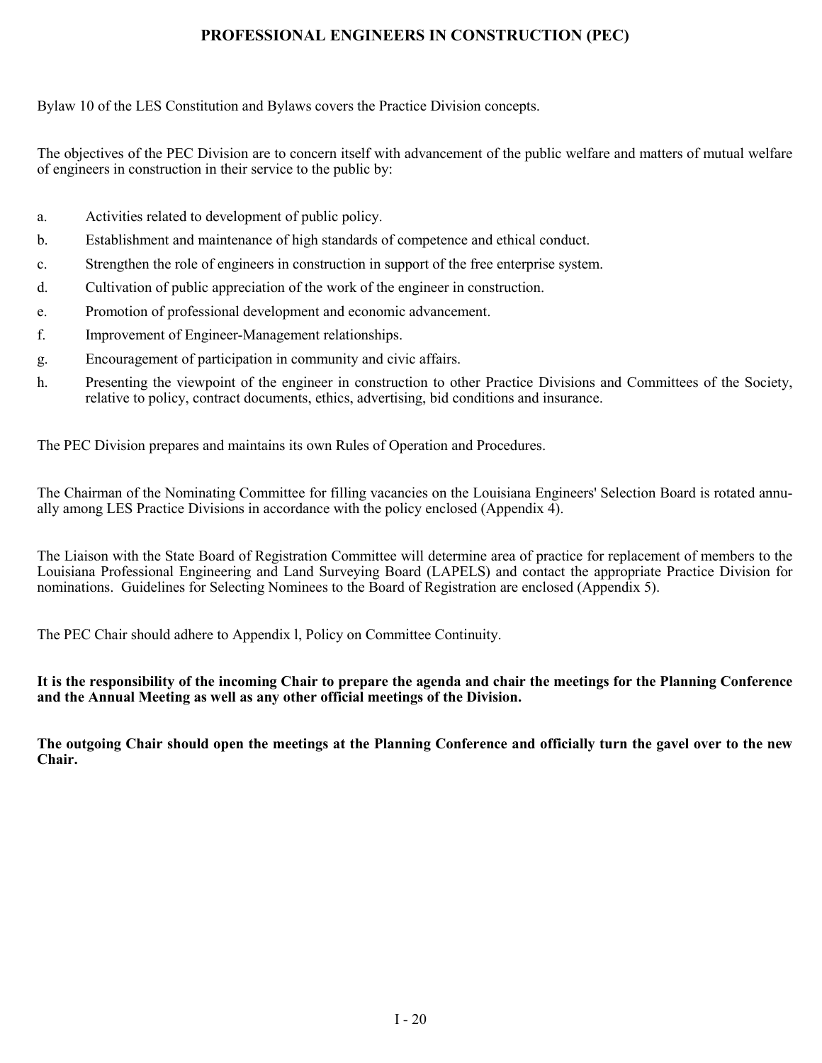### **PROFESSIONAL ENGINEERS IN CONSTRUCTION (PEC)**

Bylaw 10 of the LES Constitution and Bylaws covers the Practice Division concepts.

The objectives of the PEC Division are to concern itself with advancement of the public welfare and matters of mutual welfare of engineers in construction in their service to the public by:

- a. Activities related to development of public policy.
- b. Establishment and maintenance of high standards of competence and ethical conduct.
- c. Strengthen the role of engineers in construction in support of the free enterprise system.
- d. Cultivation of public appreciation of the work of the engineer in construction.
- e. Promotion of professional development and economic advancement.
- f. Improvement of Engineer-Management relationships.
- g. Encouragement of participation in community and civic affairs.
- h. Presenting the viewpoint of the engineer in construction to other Practice Divisions and Committees of the Society, relative to policy, contract documents, ethics, advertising, bid conditions and insurance.

The PEC Division prepares and maintains its own Rules of Operation and Procedures.

The Chairman of the Nominating Committee for filling vacancies on the Louisiana Engineers' Selection Board is rotated annually among LES Practice Divisions in accordance with the policy enclosed (Appendix 4).

The Liaison with the State Board of Registration Committee will determine area of practice for replacement of members to the Louisiana Professional Engineering and Land Surveying Board (LAPELS) and contact the appropriate Practice Division for nominations. Guidelines for Selecting Nominees to the Board of Registration are enclosed (Appendix 5).

The PEC Chair should adhere to Appendix l, Policy on Committee Continuity.

**It is the responsibility of the incoming Chair to prepare the agenda and chair the meetings for the Planning Conference and the Annual Meeting as well as any other official meetings of the Division.**

**The outgoing Chair should open the meetings at the Planning Conference and officially turn the gavel over to the new Chair.**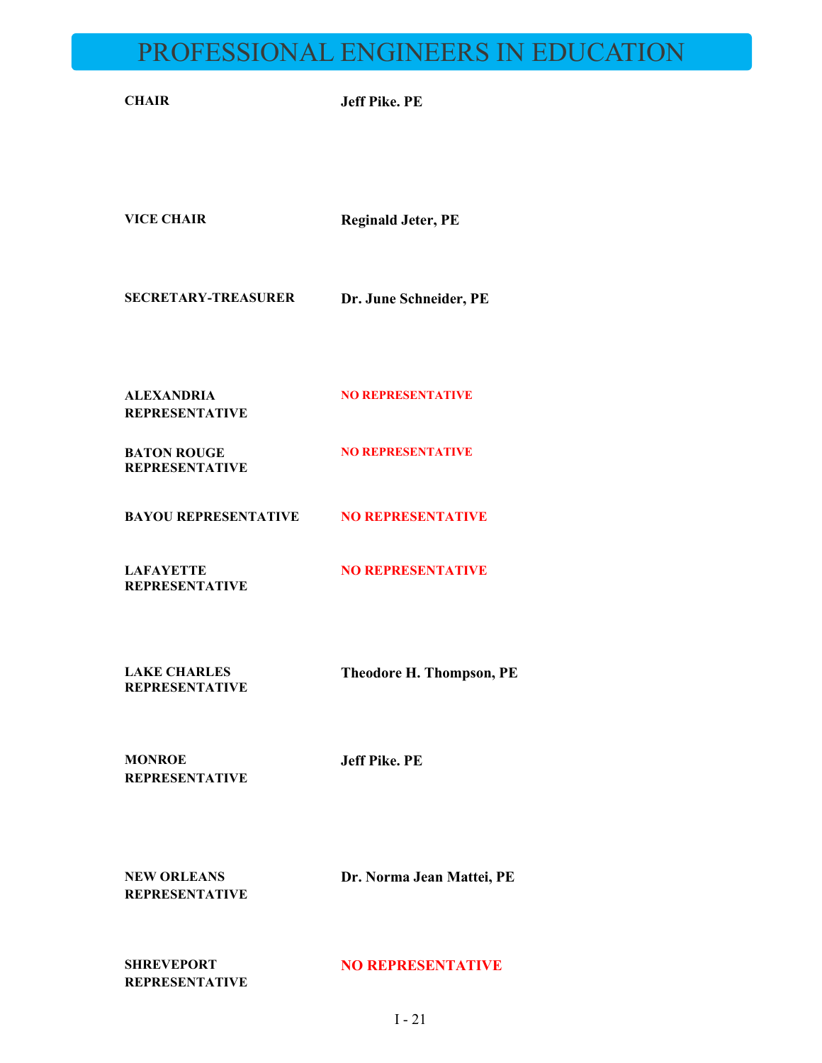# PROFESSIONAL ENGINEERS IN EDUCATION

**CHAIR Jeff Pike. PE VICE CHAIR Reginald Jeter, PE SECRETARY-TREASURER Dr. June Schneider, PE ALEXANDRIA REPRESENTATIVE NO REPRESENTATIVE BATON ROUGE REPRESENTATIVE NO REPRESENTATIVE BAYOU REPRESENTATIVE NO REPRESENTATIVE**

**LAFAYETTE REPRESENTATIVE NO REPRESENTATIVE**

**LAKE CHARLES REPRESENTATIVE** **Theodore H. Thompson, PE**

**MONROE REPRESENTATIVE** **Jeff Pike. PE**

**NEW ORLEANS REPRESENTATIVE** **Dr. Norma Jean Mattei, PE**

**SHREVEPORT REPRESENTATIVE**

#### **NO REPRESENTATIVE**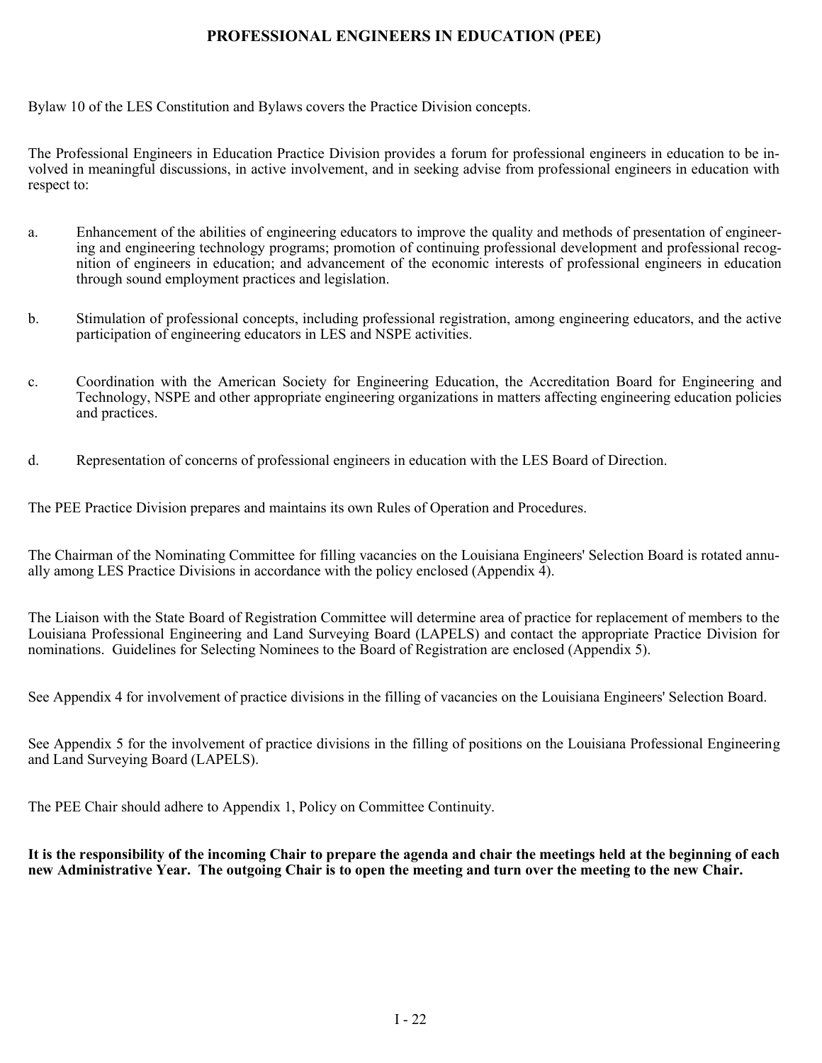### **PROFESSIONAL ENGINEERS IN EDUCATION (PEE)**

Bylaw 10 of the LES Constitution and Bylaws covers the Practice Division concepts.

The Professional Engineers in Education Practice Division provides a forum for professional engineers in education to be involved in meaningful discussions, in active involvement, and in seeking advise from professional engineers in education with respect to:

- a. Enhancement of the abilities of engineering educators to improve the quality and methods of presentation of engineering and engineering technology programs; promotion of continuing professional development and professional recognition of engineers in education; and advancement of the economic interests of professional engineers in education through sound employment practices and legislation.
- b. Stimulation of professional concepts, including professional registration, among engineering educators, and the active participation of engineering educators in LES and NSPE activities.
- c. Coordination with the American Society for Engineering Education, the Accreditation Board for Engineering and Technology, NSPE and other appropriate engineering organizations in matters affecting engineering education policies and practices.
- d. Representation of concerns of professional engineers in education with the LES Board of Direction.

The PEE Practice Division prepares and maintains its own Rules of Operation and Procedures.

The Chairman of the Nominating Committee for filling vacancies on the Louisiana Engineers' Selection Board is rotated annually among LES Practice Divisions in accordance with the policy enclosed (Appendix 4).

The Liaison with the State Board of Registration Committee will determine area of practice for replacement of members to the Louisiana Professional Engineering and Land Surveying Board (LAPELS) and contact the appropriate Practice Division for nominations. Guidelines for Selecting Nominees to the Board of Registration are enclosed (Appendix 5).

See Appendix 4 for involvement of practice divisions in the filling of vacancies on the Louisiana Engineers' Selection Board.

See Appendix 5 for the involvement of practice divisions in the filling of positions on the Louisiana Professional Engineering and Land Surveying Board (LAPELS).

The PEE Chair should adhere to Appendix 1, Policy on Committee Continuity.

### **It is the responsibility of the incoming Chair to prepare the agenda and chair the meetings held at the beginning of each new Administrative Year. The outgoing Chair is to open the meeting and turn over the meeting to the new Chair.**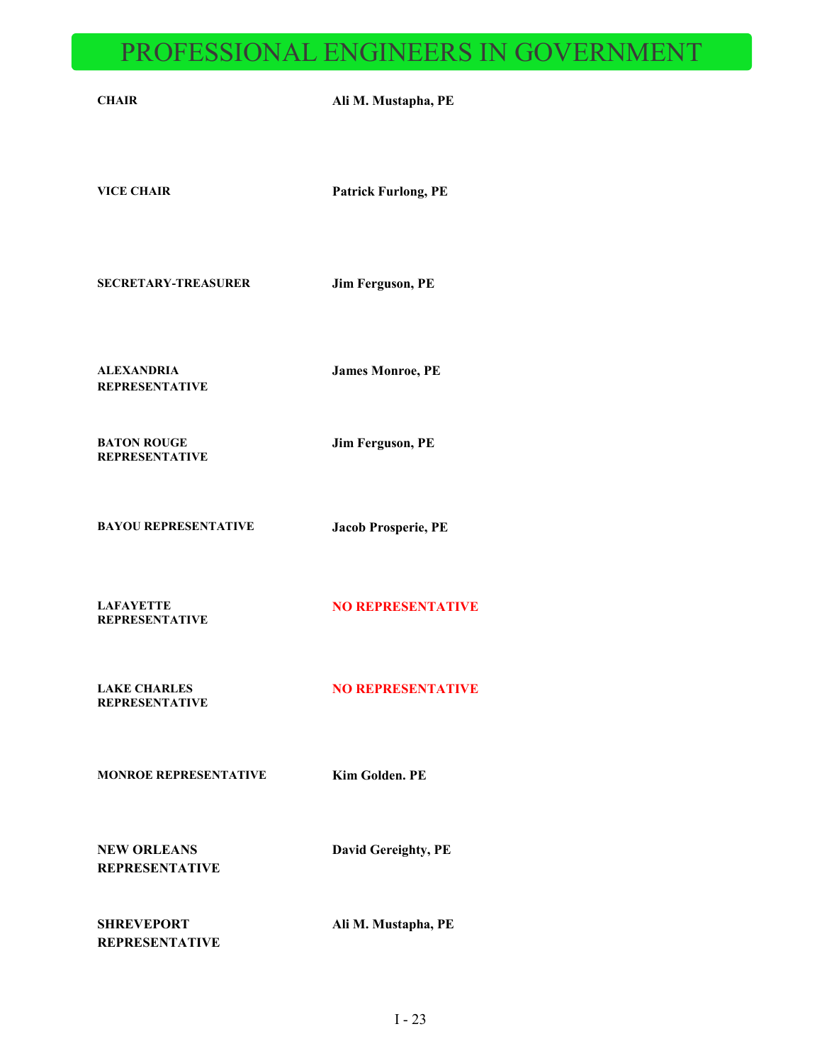# PROFESSIONAL ENGINEERS IN GOVERNMENT

|                                              | <u>I INUI EDDIUNAL ENUINEEND IN UU VEINNIELY</u> |
|----------------------------------------------|--------------------------------------------------|
| <b>CHAIR</b>                                 | Ali M. Mustapha, PE                              |
| <b>VICE CHAIR</b>                            | <b>Patrick Furlong, PE</b>                       |
| <b>SECRETARY-TREASURER</b>                   | Jim Ferguson, PE                                 |
| <b>ALEXANDRIA</b><br><b>REPRESENTATIVE</b>   | <b>James Monroe, PE</b>                          |
| <b>BATON ROUGE</b><br><b>REPRESENTATIVE</b>  | Jim Ferguson, PE                                 |
| <b>BAYOU REPRESENTATIVE</b>                  | Jacob Prosperie, PE                              |
| <b>LAFAYETTE</b><br><b>REPRESENTATIVE</b>    | <b>NO REPRESENTATIVE</b>                         |
| <b>LAKE CHARLES</b><br><b>REPRESENTATIVE</b> | <b>NO REPRESENTATIVE</b>                         |
| <b>MONROE REPRESENTATIVE</b>                 | <b>Kim Golden, PE</b>                            |
| <b>NEW ORLEANS</b><br><b>REPRESENTATIVE</b>  | David Gereighty, PE                              |
| <b>SHREVEPORT</b><br><b>REPRESENTATIVE</b>   | Ali M. Mustapha, PE                              |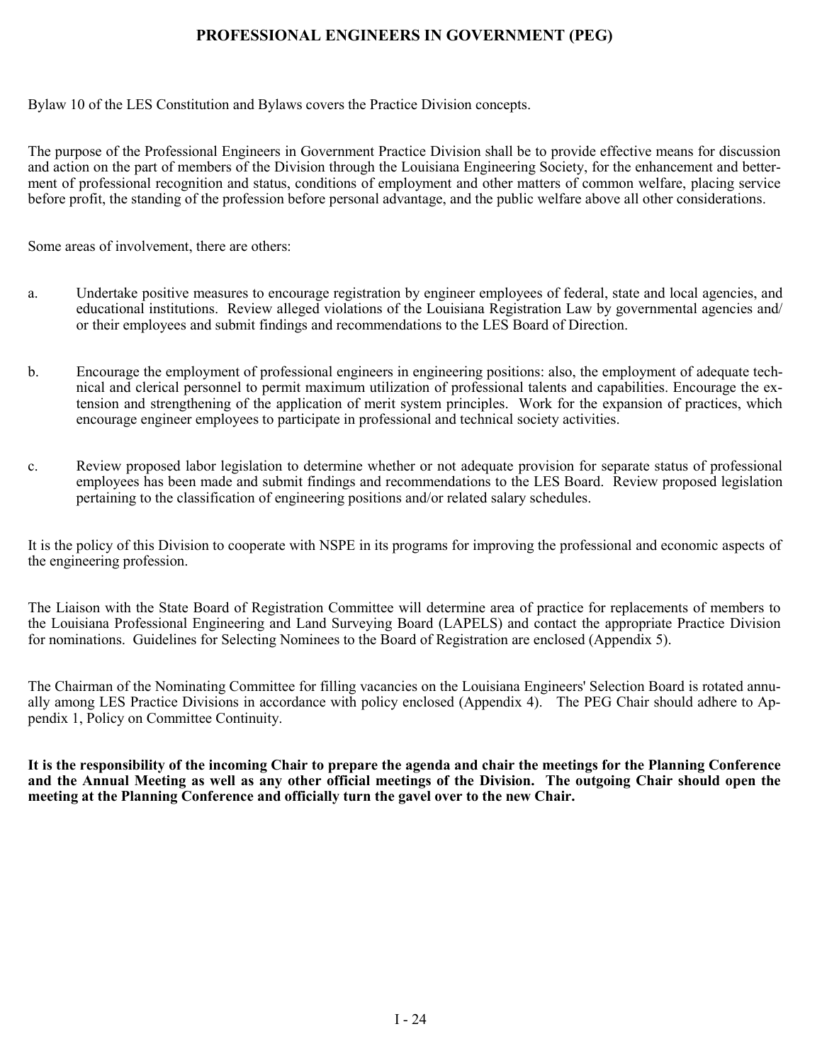### **PROFESSIONAL ENGINEERS IN GOVERNMENT (PEG)**

Bylaw 10 of the LES Constitution and Bylaws covers the Practice Division concepts.

The purpose of the Professional Engineers in Government Practice Division shall be to provide effective means for discussion and action on the part of members of the Division through the Louisiana Engineering Society, for the enhancement and betterment of professional recognition and status, conditions of employment and other matters of common welfare, placing service before profit, the standing of the profession before personal advantage, and the public welfare above all other considerations.

Some areas of involvement, there are others:

- a. Undertake positive measures to encourage registration by engineer employees of federal, state and local agencies, and educational institutions. Review alleged violations of the Louisiana Registration Law by governmental agencies and/ or their employees and submit findings and recommendations to the LES Board of Direction.
- b. Encourage the employment of professional engineers in engineering positions: also, the employment of adequate technical and clerical personnel to permit maximum utilization of professional talents and capabilities. Encourage the extension and strengthening of the application of merit system principles. Work for the expansion of practices, which encourage engineer employees to participate in professional and technical society activities.
- c. Review proposed labor legislation to determine whether or not adequate provision for separate status of professional employees has been made and submit findings and recommendations to the LES Board. Review proposed legislation pertaining to the classification of engineering positions and/or related salary schedules.

It is the policy of this Division to cooperate with NSPE in its programs for improving the professional and economic aspects of the engineering profession.

The Liaison with the State Board of Registration Committee will determine area of practice for replacements of members to the Louisiana Professional Engineering and Land Surveying Board (LAPELS) and contact the appropriate Practice Division for nominations. Guidelines for Selecting Nominees to the Board of Registration are enclosed (Appendix 5).

The Chairman of the Nominating Committee for filling vacancies on the Louisiana Engineers' Selection Board is rotated annually among LES Practice Divisions in accordance with policy enclosed (Appendix 4). The PEG Chair should adhere to Appendix 1, Policy on Committee Continuity.

**It is the responsibility of the incoming Chair to prepare the agenda and chair the meetings for the Planning Conference and the Annual Meeting as well as any other official meetings of the Division. The outgoing Chair should open the meeting at the Planning Conference and officially turn the gavel over to the new Chair.**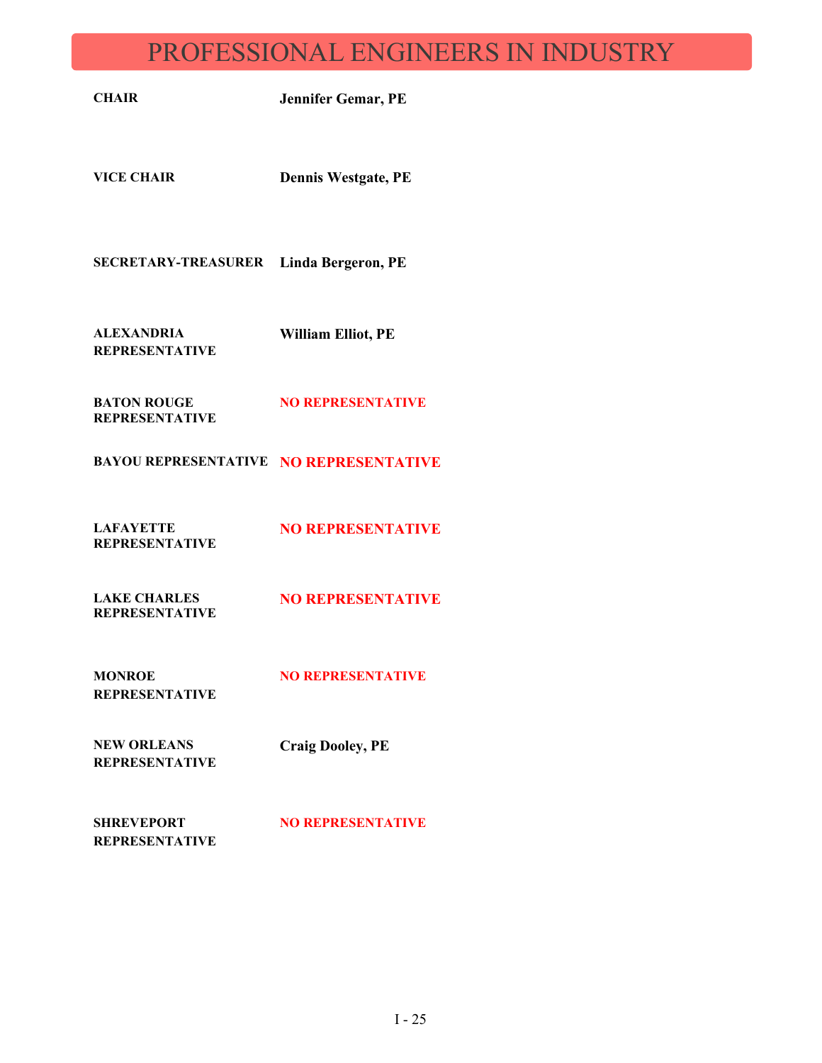## PROFESSIONAL ENGINEERS IN INDUSTRY

**CHAIR Jennifer Gemar, PE**

**VICE CHAIR Dennis Westgate, PE**

**SECRETARY-TREASURER Linda Bergeron, PE**

**ALEXANDRIA REPRESENTATIVE William Elliot, PE**

**BATON ROUGE REPRESENTATIVE NO REPRESENTATIVE**

**BAYOU REPRESENTATIVE NO REPRESENTATIVE**

**LAFAYETTE REPRESENTATIVE NO REPRESENTATIVE**

**LAKE CHARLES REPRESENTATIVE NO REPRESENTATIVE**

**MONROE REPRESENTATIVE NO REPRESENTATIVE** 

**NEW ORLEANS REPRESENTATIVE** **Craig Dooley, PE**

**SHREVEPORT REPRESENTATIVE NO REPRESENTATIVE**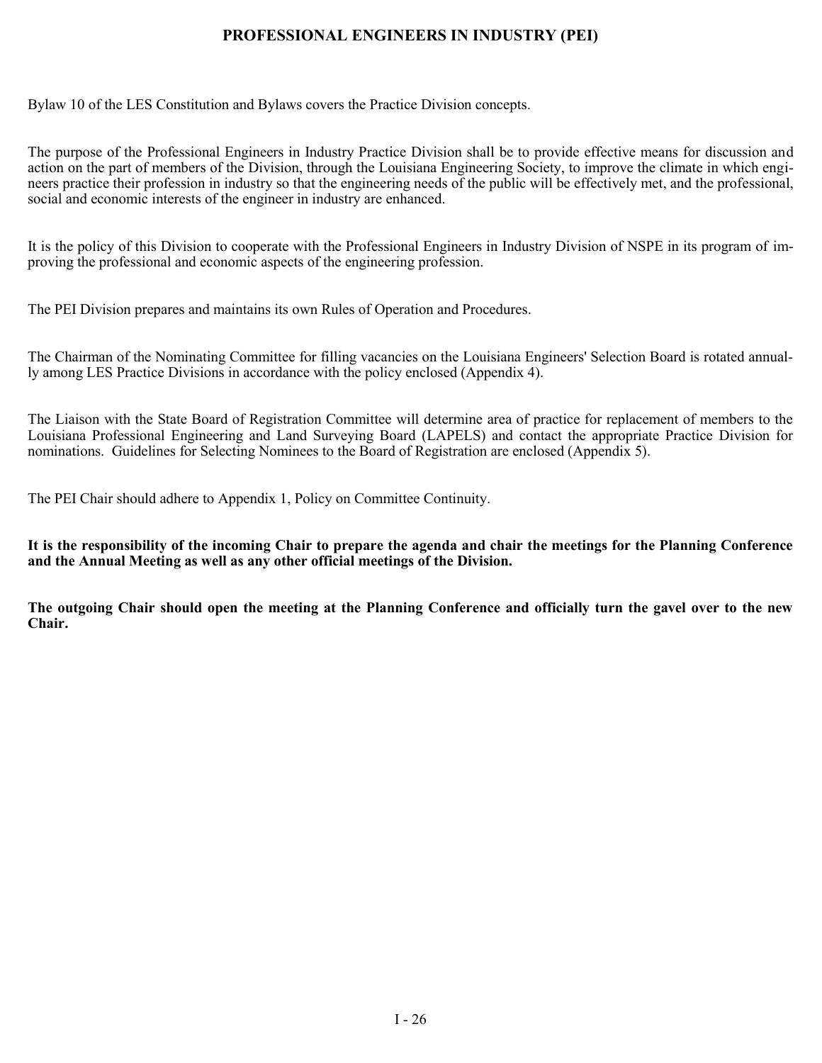### **PROFESSIONAL ENGINEERS IN INDUSTRY (PEI)**

Bylaw 10 of the LES Constitution and Bylaws covers the Practice Division concepts.

The purpose of the Professional Engineers in Industry Practice Division shall be to provide effective means for discussion and action on the part of members of the Division, through the Louisiana Engineering Society, to improve the climate in which engineers practice their profession in industry so that the engineering needs of the public will be effectively met, and the professional, social and economic interests of the engineer in industry are enhanced.

It is the policy of this Division to cooperate with the Professional Engineers in Industry Division of NSPE in its program of improving the professional and economic aspects of the engineering profession.

The PEI Division prepares and maintains its own Rules of Operation and Procedures.

The Chairman of the Nominating Committee for filling vacancies on the Louisiana Engineers' Selection Board is rotated annually among LES Practice Divisions in accordance with the policy enclosed (Appendix 4).

The Liaison with the State Board of Registration Committee will determine area of practice for replacement of members to the Louisiana Professional Engineering and Land Surveying Board (LAPELS) and contact the appropriate Practice Division for nominations. Guidelines for Selecting Nominees to the Board of Registration are enclosed (Appendix 5).

The PEI Chair should adhere to Appendix 1, Policy on Committee Continuity.

**It is the responsibility of the incoming Chair to prepare the agenda and chair the meetings for the Planning Conference and the Annual Meeting as well as any other official meetings of the Division.**

**The outgoing Chair should open the meeting at the Planning Conference and officially turn the gavel over to the new Chair.**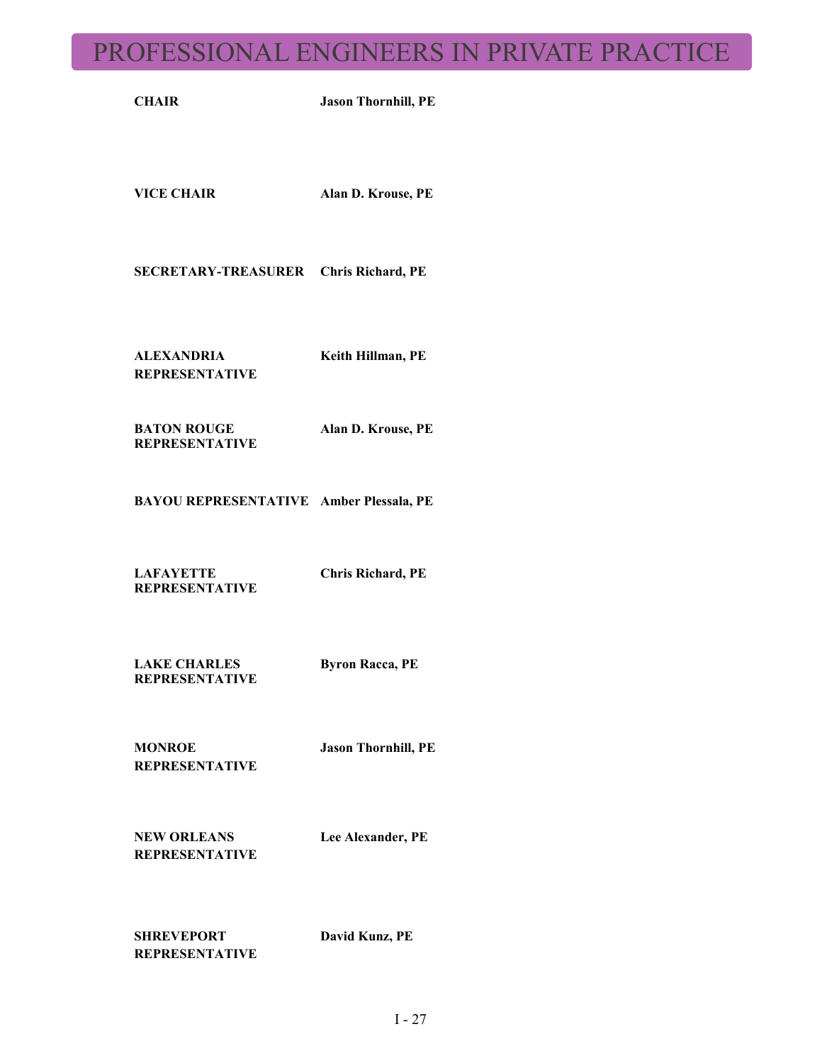## PROFESSIONAL ENGINEERS IN PRIVATE PRACTICE

**CHAIR Jason Thornhill, PE**

**VICE CHAIR Alan D. Krouse, PE**

**SECRETARY-TREASURER Chris Richard, PE**

**ALEXANDRIA REPRESENTATIVE** **Keith Hillman, PE** 

**Alan D. Krouse, PE**

**BATON ROUGE REPRESENTATIVE**

**BAYOU REPRESENTATIVE Amber Plessala, PE**

**LAFAYETTE REPRESENTATIVE**

**Chris Richard, PE**

**LAKE CHARLES REPRESENTATIVE Byron Racca, PE**

**MONROE REPRESENTATIVE** **Jason Thornhill, PE**

**NEW ORLEANS REPRESENTATIVE** **Lee Alexander, PE**

**SHREVEPORT REPRESENTATIVE** **David Kunz, PE**